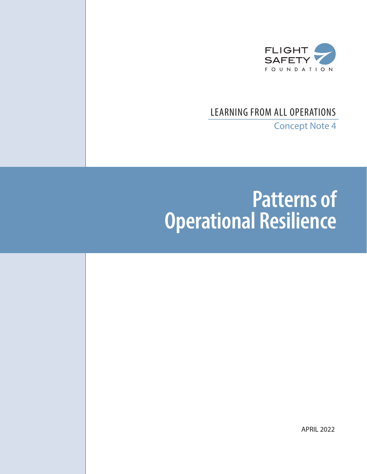

# LEARNING FROM ALL OPERATIONS

Concept Note 4

# **Patterns of Operational Resilience**

APRIL 2022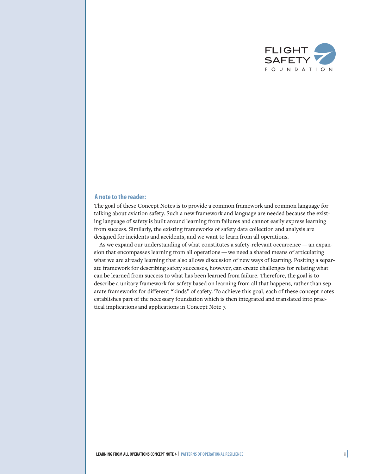

#### **A note to the reader:**

The goal of these Concept Notes is to provide a common framework and common language for talking about aviation safety. Such a new framework and language are needed because the existing language of safety is built around learning from failures and cannot easily express learning from success. Similarly, the existing frameworks of safety data collection and analysis are designed for incidents and accidents, and we want to learn from all operations.

As we expand our understanding of what constitutes a safety-relevant occurrence — an expansion that encompasses learning from all operations — we need a shared means of articulating what we are already learning that also allows discussion of new ways of learning. Positing a separate framework for describing safety successes, however, can create challenges for relating what can be learned from success to what has been learned from failure. Therefore, the goal is to describe a unitary framework for safety based on learning from all that happens, rather than separate frameworks for different "kinds" of safety. To achieve this goal, each of these concept notes establishes part of the necessary foundation which is then integrated and translated into practical implications and applications in Concept Note 7.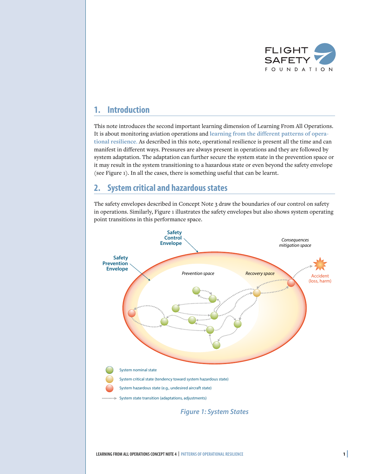

# **1. Introduction**

This note introduces the second important learning dimension of Learning From All Operations. It is about monitoring aviation operations and **learning from the different patterns of operational resilience**. As described in this note, operational resilience is present all the time and can manifest in different ways. Pressures are always present in operations and they are followed by system adaptation. The adaptation can further secure the system state in the prevention space or it may result in the system transitioning to a hazardous state or even beyond the safety envelope (see Figure 1). In all the cases, there is something useful that can be learnt.

# **2. System critical and hazardous states**

The safety envelopes described in Concept Note 3 draw the boundaries of our control on safety in operations. Similarly, Figure 1 illustrates the safety envelopes but also shows system operating point transitions in this performance space.

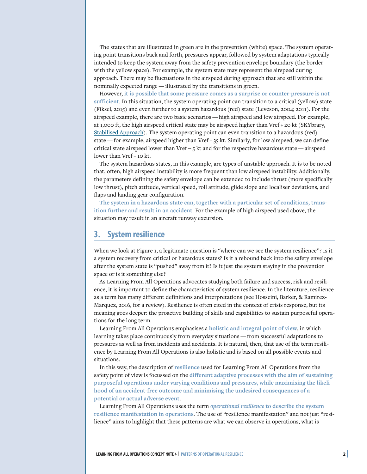The states that are illustrated in green are in the prevention (white) space. The system operating point transitions back and forth, pressures appear, followed by system adaptations typically intended to keep the system away from the safety prevention envelope boundary (the border with the yellow space). For example, the system state may represent the airspeed during approach. There may be fluctuations in the airspeed during approach that are still within the nominally expected range — illustrated by the transitions in green.

However, **it is possible that some pressure comes as a surprise or counter-pressure is not sufficient**. In this situation, the system operating point can transition to a critical (yellow) state (Fiksel, 2015) and even further to a system hazardous (red) state (Leveson, 2004; 2011). For the airspeed example, there are two basic scenarios — high airspeed and low airspeed. For example, at 1,000 ft, the high airspeed critical state may be airspeed higher than Vref + 20 kt (SKYbrary, [Stabilised Approach](https://skybrary.aero/tutorials/stabilised-approach)). The system operating point can even transition to a hazardous (red) state — for example, airspeed higher than Vref  $+$  35 kt. Similarly, for low airspeed, we can define critical state airspeed lower than Vref − 5 kt and for the respective hazardous state — airspeed lower than Vref − 10 kt.

The system hazardous states, in this example, are types of unstable approach. It is to be noted that, often, high airspeed instability is more frequent than low airspeed instability. Additionally, the parameters defining the safety envelope can be extended to include thrust (more specifically low thrust), pitch attitude, vertical speed, roll attitude, glide slope and localiser deviations, and flaps and landing gear configuration.

**The system in a hazardous state can, together with a particular set of conditions, transition further and result in an accident**. For the example of high airspeed used above, the situation may result in an aircraft runway excursion.

# **3. System resilience**

When we look at Figure 1, a legitimate question is "where can we see the system resilience"? Is it a system recovery from critical or hazardous states? Is it a rebound back into the safety envelope after the system state is "pushed" away from it? Is it just the system staying in the prevention space or is it something else?

As Learning From All Operations advocates studying both failure and success, risk and resilience, it is important to define the characteristics of system resilience. In the literature, resilience as a term has many different definitions and interpretations (see Hosseini, Barker, & Ramirez-Marquez, 2016, for a review). Resilience is often cited in the context of crisis response, but its meaning goes deeper: the proactive building of skills and capabilities to sustain purposeful operations for the long term.

Learning From All Operations emphasises a **holistic and integral point of view**, in which learning takes place continuously from everyday situations — from successful adaptations to pressures as well as from incidents and accidents. It is natural, then, that use of the term resilience by Learning From All Operations is also holistic and is based on all possible events and situations.

In this way, the description of **resilience** used for Learning From All Operations from the safety point of view is focussed on the **different adaptive processes with the aim of sustaining purposeful operations under varying conditions and pressures, while maximising the likelihood of an accident-free outcome and minimising the undesired consequences of a potential or actual adverse event**.

Learning From All Operations uses the term *operational resilience* **to describe the system resilience manifestation in operations**. The use of "resilience manifestation" and not just "resilience" aims to highlight that these patterns are what we can observe in operations, what is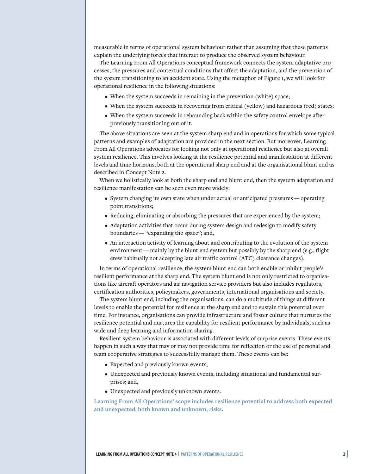measurable in terms of operational system behaviour rather than assuming that these patterns explain the underlying forces that interact to produce the observed system behaviour.

The Learning From All Operations conceptual framework connects the system adaptative processes, the pressures and contextual conditions that affect the adaptation, and the prevention of the system transitioning to an accident state. Using the metaphor of Figure 1, we will look for operational resilience in the following situations:

- When the system succeeds in remaining in the prevention (white) space;
- When the system succeeds in recovering from critical (yellow) and hazardous (red) states;
- When the system succeeds in rebounding back within the safety control envelope after previously transitioning out of it.

The above situations are seen at the system sharp end and in operations for which some typical patterns and examples of adaptation are provided in the next section. But moreover, Learning From All Operations advocates for looking not only at operational resilience but also at overall system resilience. This involves looking at the resilience potential and manifestation at different levels and time horizons, both at the operational sharp end and at the organisational blunt end as described in Concept Note 2.

When we holistically look at both the sharp end and blunt end, then the system adaptation and resilience manifestation can be seen even more widely:

- System changing its own state when under actual or anticipated pressures operating point transitions;
- Reducing, eliminating or absorbing the pressures that are experienced by the system;
- Adaptation activities that occur during system design and redesign to modify safety boundaries — "expanding the space"; and,
- An interaction activity of learning about and contributing to the evolution of the system environment — mainly by the blunt end system but possibly by the sharp end (e.g., flight crew habitually not accepting late air traffic control (ATC) clearance changes).

In terms of operational resilience, the system blunt end can both enable or inhibit people's resilient performance at the sharp end. The system blunt end is not only restricted to organisations like aircraft operators and air navigation service providers but also includes regulators, certification authorities, policymakers, governments, international organisations and society.

The system blunt end, including the organisations, can do a multitude of things at different levels to enable the potential for resilience at the sharp end and to sustain this potential over time. For instance, organisations can provide infrastructure and foster culture that nurtures the resilience potential and nurtures the capability for resilient performance by individuals, such as wide and deep learning and information sharing.

Resilient system behaviour is associated with different levels of surprise events. These events happen in such a way that may or may not provide time for reflection or the use of personal and team cooperative strategies to successfully manage them. These events can be:

- Expected and previously known events;
- Unexpected and previously known events, including situational and fundamental surprises; and,
- Unexpected and previously unknown events.

**Learning From All Operations' scope includes resilience potential to address both expected and unexpected, both known and unknown, risks**.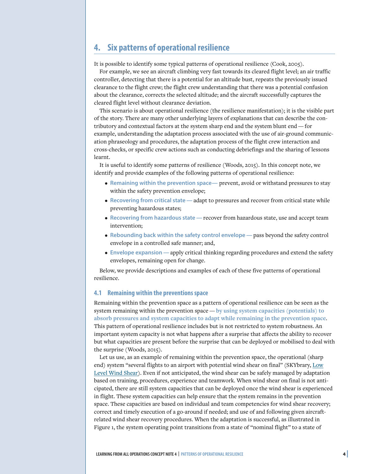# **4. Six patterns of operational resilience**

It is possible to identify some typical patterns of operational resilience (Cook, 2005).

For example, we see an aircraft climbing very fast towards its cleared flight level; an air traffic controller, detecting that there is a potential for an altitude bust, repeats the previously issued clearance to the flight crew; the flight crew understanding that there was a potential confusion about the clearance, corrects the selected altitude; and the aircraft successfully captures the cleared flight level without clearance deviation.

This scenario is about operational resilience (the resilience manifestation); it is the visible part of the story. There are many other underlying layers of explanations that can describe the contributory and contextual factors at the system sharp end and the system blunt end — for example, understanding the adaptation process associated with the use of air-ground communication phraseology and procedures, the adaptation process of the flight crew interaction and cross-checks, or specific crew actions such as conducting debriefings and the sharing of lessons learnt.

It is useful to identify some patterns of resilience (Woods, 2015). In this concept note, we identify and provide examples of the following patterns of operational resilience:

- **Remaining within the prevention space—** prevent, avoid or withstand pressures to stay within the safety prevention envelope;
- **Recovering from critical state —**adapt to pressures and recover from critical state while preventing hazardous states;
- **Recovering from hazardous state —**recover from hazardous state, use and accept team intervention;
- **Rebounding back within the safety control envelope —**pass beyond the safety control envelope in a controlled safe manner; and,
- **Envelope expansion —**apply critical thinking regarding procedures and extend the safety envelopes, remaining open for change.

Below, we provide descriptions and examples of each of these five patterns of operational resilience.

#### **4.1 Remaining within the preventions space**

Remaining within the prevention space as a pattern of operational resilience can be seen as the system remaining within the prevention space — **by using system capacities (potentials) to absorb pressures and system capacities to adapt while remaining in the prevention space**. This pattern of operational resilience includes but is not restricted to system robustness. An important system capacity is not what happens after a surprise that affects the ability to recover but what capacities are present before the surprise that can be deployed or mobilised to deal with the surprise (Woods, 2015).

Let us use, as an example of remaining within the prevention space, the operational (sharp end) system "several flights to an airport with potential wind shear on final" (SKYbrary, [Low](https://skybrary.aero/articles/low-level-wind-shear) [Level Wind Shear\)](https://skybrary.aero/articles/low-level-wind-shear). Even if not anticipated, the wind shear can be safely managed by adaptation based on training, procedures, experience and teamwork. When wind shear on final is not anticipated, there are still system capacities that can be deployed once the wind shear is experienced in flight. These system capacities can help ensure that the system remains in the prevention space. These capacities are based on individual and team competencies for wind shear recovery; correct and timely execution of a go-around if needed; and use of and following given aircraftrelated wind shear recovery procedures. When the adaptation is successful, as illustrated in Figure 1, the system operating point transitions from a state of "nominal flight" to a state of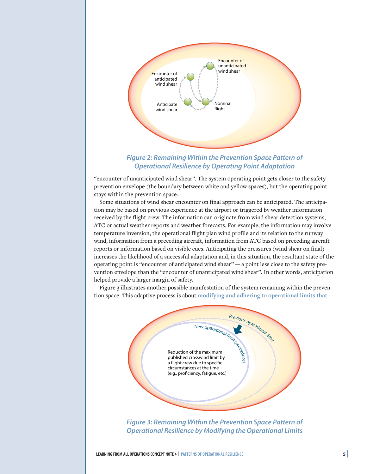

## *Figure 2: Remaining Within the Prevention Space Pattern of Operational Resilience by Operating Point Adaptation*

"encounter of unanticipated wind shear". The system operating point gets closer to the safety prevention envelope (the boundary between white and yellow spaces), but the operating point stays within the prevention space.

Some situations of wind shear encounter on final approach can be anticipated. The anticipation may be based on previous experience at the airport or triggered by weather information received by the flight crew. The information can originate from wind shear detection systems, ATC or actual weather reports and weather forecasts. For example, the information may involve temperature inversion, the operational flight plan wind profile and its relation to the runway wind, information from a preceding aircraft, information from ATC based on preceding aircraft reports or information based on visible cues. Anticipating the pressures (wind shear on final) increases the likelihood of a successful adaptation and, in this situation, the resultant state of the operating point is "encounter of anticipated wind shear" — a point less close to the safety prevention envelope than the "encounter of unanticipated wind shear". In other words, anticipation helped provide a larger margin of safety.

Figure 3 illustrates another possible manifestation of the system remaining within the prevention space. This adaptive process is about **modifying and adhering to operational limits that**



*Figure 3: Remaining Within the Prevention Space Pattern of Operational Resilience by Modifying the Operational Limits*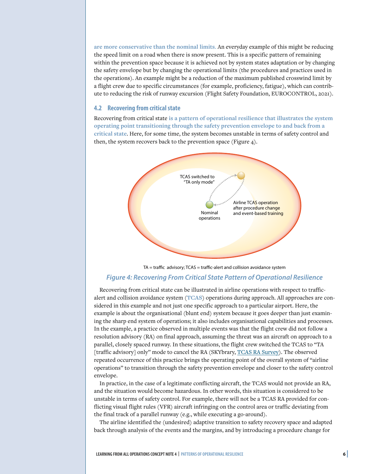**are more conservative than the nominal limits**. An everyday example of this might be reducing the speed limit on a road when there is snow present. This is a specific pattern of remaining within the prevention space because it is achieved not by system states adaptation or by changing the safety envelope but by changing the operational limits (the procedures and practices used in the operations). An example might be a reduction of the maximum published crosswind limit by a flight crew due to specific circumstances (for example, proficiency, fatigue), which can contribute to reducing the risk of runway excursion (Flight Safety Foundation, EUROCONTROL, 2021).

#### **4.2 Recovering from critical state**

Recovering from critical state **is a pattern of operational resilience that illustrates the system operating point transitioning through the safety prevention envelope to and back from a critical state**. Here, for some time, the system becomes unstable in terms of safety control and then, the system recovers back to the prevention space (Figure 4).



TA = traffic advisory; TCAS = traffic-alert and collision avoidance system *Figure 4: Recovering From Critical State Pattern of Operational Resilience*

Recovering from critical state can be illustrated in airline operations with respect to trafficalert and collision avoidance system (**TCAS**) operations during approach. All approaches are considered in this example and not just one specific approach to a particular airport. Here, the example is about the organisational (blunt end) system because it goes deeper than just examining the sharp end system of operations; it also includes organisational capabilities and processes. In the example, a practice observed in multiple events was that the flight crew did not follow a resolution advisory (RA) on final approach, assuming the threat was an aircraft on approach to a parallel, closely spaced runway. In these situations, the flight crew switched the TCAS to "TA [traffic advisory] only" mode to cancel the RA (SKYbrary, [TCAS RA Survey](https://skybrary.aero/articles/tcas-ra-survey)). The observed repeated occurrence of this practice brings the operating point of the overall system of "airline operations" to transition through the safety prevention envelope and closer to the safety control envelope.

In practice, in the case of a legitimate conflicting aircraft, the TCAS would not provide an RA, and the situation would become hazardous. In other words, this situation is considered to be unstable in terms of safety control. For example, there will not be a TCAS RA provided for conflicting visual flight rules (VFR) aircraft infringing on the control area or traffic deviating from the final track of a parallel runway (e.g., while executing a go-around).

The airline identified the (undesired) adaptive transition to safety recovery space and adapted back through analysis of the events and the margins, and by introducing a procedure change for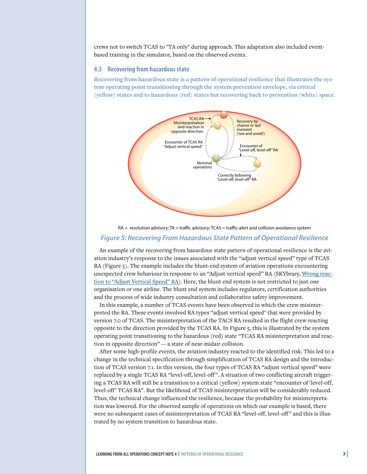crews not to switch TCAS to "TA only" during approach. This adaptation also included eventbased training in the simulator, based on the observed events.

#### **4.3 Recovering from hazardous state**

**Recovering from hazardous state is a pattern of operational resilience that illustrates the system operating point transitioning through the system prevention envelope, via critical (yellow) states and to hazardous (red) states but recovering back to prevention (white) space.**



# RA = resolution advisory; TA = traffic advisory; TCAS = traffic-alert and collision avoidance system

#### *Figure 5: Recovering From Hazardous State Pattern of Operational Resilience*

An example of the recovering from hazardous state pattern of operational resilience is the aviation industry's response to the issues associated with the "adjust vertical speed" type of TCAS RA (Figure 5). The example includes the blunt-end system of aviation operations encountering unexpected crew behaviour in response to an "Adjust vertical speed" RA (SKYbrary, [Wrong reac](https://skybrary.aero/articles/wrong-reaction-%E2%80%9Cadjust-vertical-speed%E2%80%9D-ra)[tion to "Adjust Vertical Speed" RA\)](https://skybrary.aero/articles/wrong-reaction-%E2%80%9Cadjust-vertical-speed%E2%80%9D-ra). Here, the blunt end system is not restricted to just one organisation or one airline. The blunt end system includes regulators, certification authorities and the process of wide industry consultation and collaborative safety improvement.

In this example, a number of TCAS events have been observed in which the crew misinterpreted the RA. These events involved RA types "adjust vertical speed" that were provided by version 7.0 of TCAS. The misinterpretation of the TACS RA resulted in the flight crew reacting opposite to the direction provided by the TCAS RA. In Figure 5, this is illustrated by the system operating point transitioning to the hazardous (red) state "TCAS RA misinterpretation and reaction in opposite direction" — a state of near-midair collision.

After some high-profile events, the aviation industry reacted to the identified risk. This led to a change in the technical specification through simplification of TCAS RA design and the introduction of TCAS version 7.1. In this version, the four types of TCAS RA "adjust vertical speed" were replaced by a single TCAS RA "level-off, level-off". A situation of two conflicting aircraft triggering a TCAS RA will still be a transition to a critical (yellow) system state "encounter of 'level-off, level-off' TCAS RA". But the likelihood of TCAS misinterpretation will be considerably reduced. Thus, the technical change influenced the resilience, because the probability for misinterpretation was lowered. For the observed sample of operations on which our example is based, there were no subsequent cases of misinterpretation of TCAS RA "level-off, level-off" and this is illustrated by no system transition to hazardous state.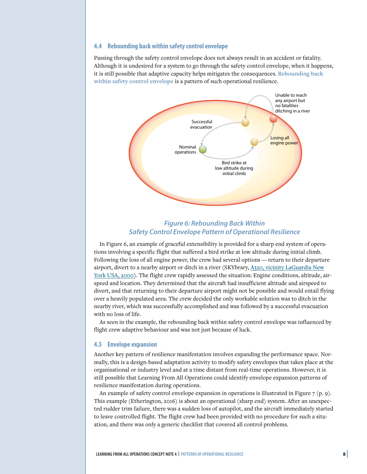#### **4.4 Rebounding back within safety control envelope**

Passing through the safety control envelope does not always result in an accident or fatality. Although it is undesired for a system to go through the safety control envelope, when it happens, it is still possible that adaptive capacity helps mitigates the consequences. **Rebounding back within safety control envelope** is a pattern of such operational resilience.



## *Figure 6: Rebounding Back Within Safety Control Envelope Pattern of Operational Resilience*

In Figure 6, an example of graceful extensibility is provided for a sharp end system of operations involving a specific flight that suffered a bird strike at low altitude during initial climb. Following the loss of all engine power, the crew had several options — return to their departure airport, divert to a nearby airport or ditch in a river (SKYbrary, [A320, vicinity LaGuardia New](https://skybrary.aero/accidents-and-incidents/a320-vicinity-laguardia-new-york-usa-2009) [York USA, 2000](https://skybrary.aero/accidents-and-incidents/a320-vicinity-laguardia-new-york-usa-2009)). The flight crew rapidly assessed the situation: Engine conditions, altitude, airspeed and location. They determined that the aircraft had insufficient altitude and airspeed to divert, and that returning to their departure airport might not be possible and would entail flying over a heavily populated area. The crew decided the only workable solution was to ditch in the nearby river, which was successfully accomplished and was followed by a successful evacuation with no loss of life.

As seen in the example, the rebounding back within safety control envelope was influenced by flight crew adaptive behaviour and was not just because of luck.

#### **4.5 Envelope expansion**

Another key pattern of resilience manifestation involves expanding the performance space. Normally, this is a design-based adaptation activity to modify safety envelopes that takes place at the organisational or industry level and at a time distant from real-time operations. However, it is still possible that Learning From All Operations could identify envelope expansion patterns of resilience manifestation during operations.

An example of safety control envelope expansion in operations is illustrated in Figure 7 (p. 9). This example (Etherington, 2016) is about an operational (sharp end) system. After an unexpected rudder trim failure, there was a sudden loss of autopilot, and the aircraft immediately started to leave controlled flight. The flight crew had been provided with no procedure for such a situation, and there was only a generic checklist that covered all control problems.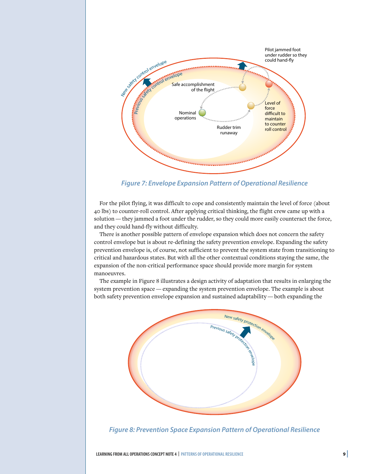

*Figure 7: Envelope Expansion Pattern of Operational Resilience*

For the pilot flying, it was difficult to cope and consistently maintain the level of force (about 40 lbs) to counter-roll control. After applying critical thinking, the flight crew came up with a solution — they jammed a foot under the rudder, so they could more easily counteract the force, and they could hand-fly without difficulty.

There is another possible pattern of envelope expansion which does not concern the safety control envelope but is about re-defining the safety prevention envelope. Expanding the safety prevention envelope is, of course, not sufficient to prevent the system state from transitioning to critical and hazardous states. But with all the other contextual conditions staying the same, the expansion of the non-critical performance space should provide more margin for system manoeuvres.

The example in Figure 8 illustrates a design activity of adaptation that results in enlarging the system prevention space — expanding the system prevention envelope. The example is about both safety prevention envelope expansion and sustained adaptability — both expanding the



*Figure 8: Prevention Space Expansion Pattern of Operational Resilience*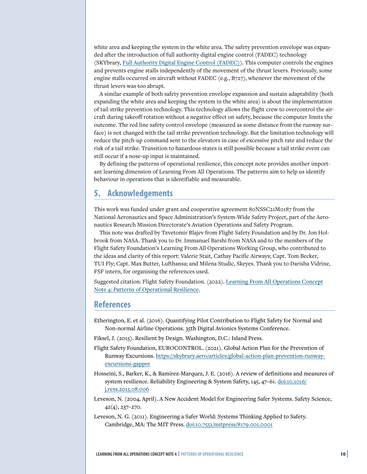white area and keeping the system in the white area. The safety prevention envelope was expanded after the introduction of full authority digital engine control (FADEC) technology (SKYbrary, [Full Authority Digital Engine Control \(FADEC\)](https://skybrary.aero/articles/full-authority-digital-engine-control-fadec)). This computer controls the engines and prevents engine stalls independently of the movement of the thrust levers. Previously, some engine stalls occurred on aircraft without FADEC (e.g., B727), whenever the movement of the thrust levers was too abrupt.

A similar example of both safety prevention envelope expansion and sustain adaptability (both expanding the white area and keeping the system in the white area) is about the implementation of tail strike prevention technology. This technology allows the flight crew to overcontrol the aircraft during takeoff rotation without a negative effect on safety, because the computer limits the outcome. The red line safety control envelope (measured as some distance from the runway surface) is not changed with the tail strike prevention technology. But the limitation technology will reduce the pitch-up command sent to the elevators in case of excessive pitch rate and reduce the risk of a tail strike. Transition to hazardous states is still possible because a tail strike event can still occur if a nose-up input is maintained.

By defining the patterns of operational resilience, this concept note provides another important learning dimension of Learning From All Operations. The patterns aim to help us identify behaviour in operations that is identifiable and measurable.

## **5. Acknowledgements**

This work was funded under grant and cooperative agreement 80NSSC21M0187 from the National Aeronautics and Space Administration's System-Wide Safety Project, part of the Aeronautics Research Mission Directorate's Aviation Operations and Safety Program.

This note was drafted by Tzvetomir Blajev from Flight Safety Foundation and by Dr. Jon Holbrook from NASA. Thank you to Dr. Immanuel Barshi from NASA and to the members of the Flight Safety Foundation's Learning From All Operations Working Group, who contributed to the ideas and clarity of this report: Valerie Stait, Cathay Pacific Airways; Capt. Tom Becker, TUI Fly; Capt. Max Butter, Lufthansa; and Milena Studic, Skeyes. Thank you to Darisha Vidrine, FSF intern, for organising the references used.

Suggested citation: Flight Safety Foundation. (2022). [Learning From All Operations Concept](https://flightsafety.org/toolkits-resources/learning-from-all-operations/) [Note 4: Patterns of Operational Resilience](https://flightsafety.org/toolkits-resources/learning-from-all-operations/).

## **References**

Etherington, E. et al. (2016). Quantifying Pilot Contribution to Flight Safety for Normal and Non-normal Airline Operations. 35th Digital Avionics Systems Conference.

Fiksel, J. (2015). Resilient by Design. Washington, D.C.: Island Press.

- Flight Safety Foundation, EUROCONTROL. (2021). Global Action Plan for the Prevention of Runway Excursions. [https://skybrary.aero/articles/global-action-plan-prevention-runway](https://skybrary.aero/articles/global-action-plan-prevention-runway-excursions-gappre)[excursions-gappre](https://skybrary.aero/articles/global-action-plan-prevention-runway-excursions-gappre)
- Hosseini, S., Barker, K., & Ramirez-Marquez, J. E. (2016). A review of definitions and measures of system resilience. Reliability Engineering & System Safety, 145, 47–61. [doi:10.1016/](https://doi.org/10.1016/j.ress.2015.08.006) [j.ress.2015.08.006](https://doi.org/10.1016/j.ress.2015.08.006)
- Leveson, N. (2004, April). A New Accident Model for Engineering Safer Systems. Safety Science, 42(4), 237–270.
- Leveson, N. G. (2011). Engineering a Safer World: Systems Thinking Applied to Safety. Cambridge, MA: The MIT Press. [doi:10.7551/mitpress/8179.001.0001](https://doi.org/10.7551/mitpress/8179.001.0001)